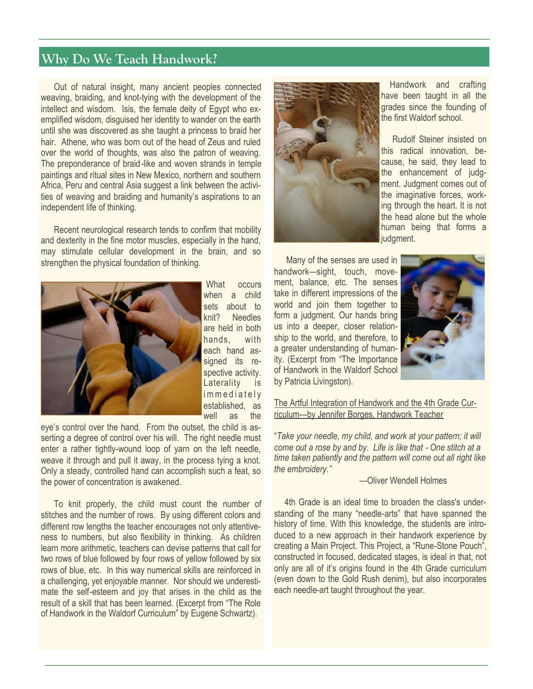## **Why Do We Teach Handwork?**

Out of natural insight, many ancient peoples connected weaving, braiding, and knot-tying with the development of the intellect and wisdom. Isis, the female deity of Egypt who exemplified wisdom, disguised her identity to wander on the earth until she was discovered as she taught a princess to braid her hair. Athene, who was born out of the head of Zeus and ruled over the world of thoughts, was also the patron of weaving. The preponderance of braid-like and woven strands in temple paintings and ritual sites in New Mexico, northern and southern Africa, Peru and central Asia suggest a link between the activities of weaving and braiding and humanity's aspirations to an independent life of thinking.

Recent neurological research tends to confirm that mobility and dexterity in the fine motor muscles, especially in the hand, may stimulate cellular development in the brain, and so strengthen the physical foundation of thinking.



What occurs when a child sets about to knit? Needles are held in both hands, with each hand assigned its respective activity. Laterality is *i*mmediately established, as well as the

eye's control over the hand. From the outset, the child is asserting a degree of control over his will. The right needle must enter a rather tightly-wound loop of yarn on the left needle, weave it through and pull it away, in the process tying a knot. Only a steady, controlled hand can accomplish such a feat, so the power of concentration is awakened.

To knit properly, the child must count the number of stitches and the number of rows. By using different colors and different row lengths the teacher encourages not only attentiveness to numbers, but also flexibility in thinking. As children learn more arithmetic, teachers can devise patterns that call for two rows of blue followed by four rows of yellow followed by six rows of blue, etc. In this way numerical skills are reinforced in a challenging, yet enjoyable manner. Nor should we underestimate the self-esteem and joy that arises in the child as the result of a skill that has been learned. (Excerpt from "The Role of Handwork in the Waldorf Curriculum" by Eugene Schwartz).



Handwork and crafting have been taught in all the grades since the founding of the first Waldorf school.

Rudolf Steiner insisted on this radical innovation, because, he said, they lead to the enhancement of judgment. Judgment comes out of the imaginative forces, working through the heart. It is not the head alone but the whole human being that forms a judgment.

Many of the senses are used in handwork—sight, touch, movement, balance, etc. The senses take in different impressions of the world and join them together to form a judgment. Our hands bring us into a deeper, closer relationship to the world, and therefore, to a greater understanding of humanity. (Excerpt from "The Importance of Handwork in the Waldorf School by Patricia Livingston).



The Artful Integration of Handwork and the 4th Grade Curriculum—by Jennifer Borges, Handwork Teacher

"*Take your needle, my child, and work at your pattern; it will come out a rose by and by. Life is like that - One stitch at a time taken patiently and the pattern will come out all right like the embroidery."*

—Oliver Wendell Holmes

4th Grade is an ideal time to broaden the class's understanding of the many "needle-arts" that have spanned the history of time. With this knowledge, the students are introduced to a new approach in their handwork experience by creating a Main Project. This Project, a "Rune-Stone Pouch", constructed in focused, dedicated stages, is ideal in that, not only are all of it's origins found in the 4th Grade curriculum (even down to the Gold Rush denim), but also incorporates each needle-art taught throughout the year.